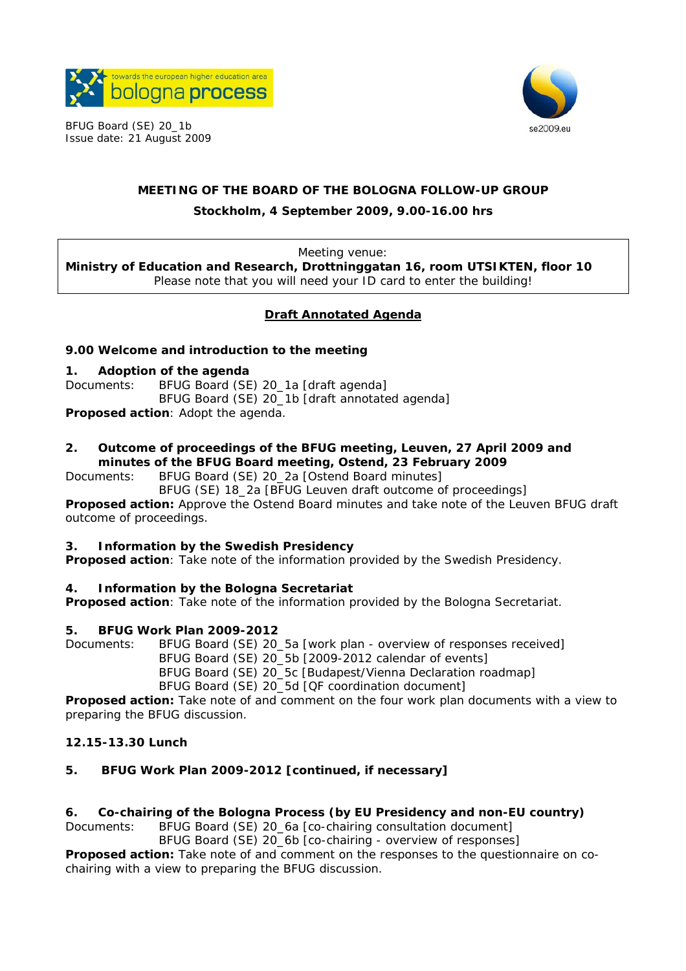

BFUG Board (SE) 20\_1b Issue date: 21 August 2009



# **MEETING OF THE BOARD OF THE BOLOGNA FOLLOW-UP GROUP Stockholm, 4 September 2009, 9.00-16.00 hrs**

Meeting venue:

**Ministry of Education and Research, Drottninggatan 16, room UTSIKTEN, floor 10**  Please note that you will need your ID card to enter the building!

#### **Draft Annotated Agenda**

#### **9.00 Welcome and introduction to the meeting**

#### **1. Adoption of the agenda**

Documents: BFUG Board (SE) 20\_1a [draft agenda] BFUG Board (SE) 20\_1b [draft annotated agenda]

**Proposed action**: Adopt the agenda.

#### **2. Outcome of proceedings of the BFUG meeting, Leuven, 27 April 2009 and minutes of the BFUG Board meeting, Ostend, 23 February 2009**

Documents: BFUG Board (SE) 20\_2a [Ostend Board minutes]

 BFUG (SE) 18\_2a [BFUG Leuven draft outcome of proceedings] **Proposed action:** Approve the Ostend Board minutes and take note of the Leuven BFUG draft outcome of proceedings.

#### **3. Information by the Swedish Presidency**

**Proposed action**: Take note of the information provided by the Swedish Presidency.

#### **4. Information by the Bologna Secretariat**

**Proposed action**: Take note of the information provided by the Bologna Secretariat.

#### **5. BFUG Work Plan 2009-2012**

Documents: BFUG Board (SE) 20\_5a [work plan - overview of responses received]

BFUG Board (SE) 20\_5b [2009-2012 calendar of events]

BFUG Board (SE) 20\_5c [Budapest/Vienna Declaration roadmap]

BFUG Board (SE) 20\_5d [QF coordination document]

**Proposed action:** Take note of and comment on the four work plan documents with a view to preparing the BFUG discussion.

#### **12.15-13.30 Lunch**

## **5. BFUG Work Plan 2009-2012 [continued, if necessary]**

#### **6. Co-chairing of the Bologna Process (by EU Presidency and non-EU country)**

Documents: BFUG Board (SE) 20\_6a [co-chairing consultation document]

 BFUG Board (SE) 20\_6b [co-chairing - overview of responses] **Proposed action:** Take note of and comment on the responses to the questionnaire on cochairing with a view to preparing the BFUG discussion.